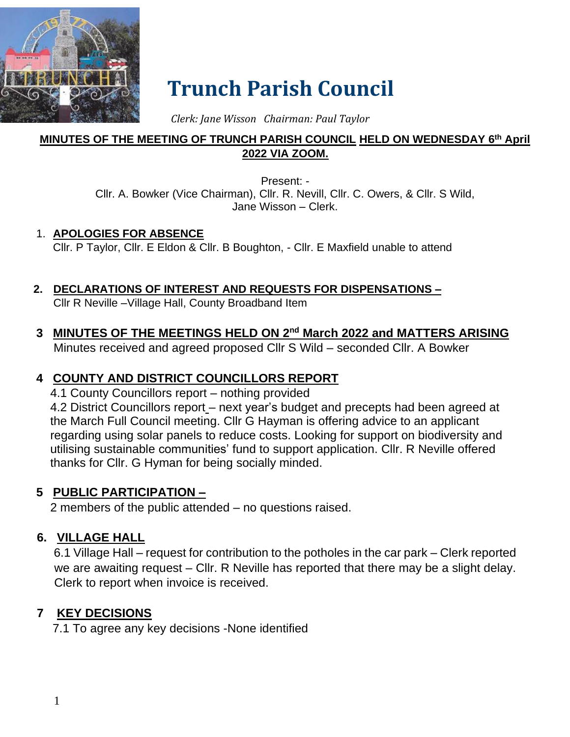

# **Trunch Parish Council**

 *Clerk: Jane Wisson Chairman: Paul Taylor*

### **MINUTES OF THE MEETING OF TRUNCH PARISH COUNCIL HELD ON WEDNESDAY 6 th April 2022 VIA ZOOM.**

Present: - Cllr. A. Bowker (Vice Chairman), Cllr. R. Nevill, Cllr. C. Owers, & Cllr. S Wild, Jane Wisson – Clerk.

#### 1. **APOLOGIES FOR ABSENCE**

Cllr. P Taylor, Cllr. E Eldon & Cllr. B Boughton, - Cllr. E Maxfield unable to attend

### **2. DECLARATIONS OF INTEREST AND REQUESTS FOR DISPENSATIONS –**

Cllr R Neville –Village Hall, County Broadband Item

**3 MINUTES OF THE MEETINGS HELD ON 2nd March 2022 and MATTERS ARISING** Minutes received and agreed proposed Cllr S Wild – seconded Cllr. A Bowker

## **4 COUNTY AND DISTRICT COUNCILLORS REPORT**

4.1 County Councillors report – nothing provided

4.2 District Councillors report – next year's budget and precepts had been agreed at the March Full Council meeting. Cllr G Hayman is offering advice to an applicant regarding using solar panels to reduce costs. Looking for support on biodiversity and utilising sustainable communities' fund to support application. Cllr. R Neville offered thanks for Cllr. G Hyman for being socially minded.

## **5 PUBLIC PARTICIPATION –**

2 members of the public attended – no questions raised.

## **6. VILLAGE HALL**

6.1 Village Hall – request for contribution to the potholes in the car park – Clerk reported we are awaiting request – Cllr. R Neville has reported that there may be a slight delay. Clerk to report when invoice is received.

### **7 KEY DECISIONS**

7.1 To agree any key decisions -None identified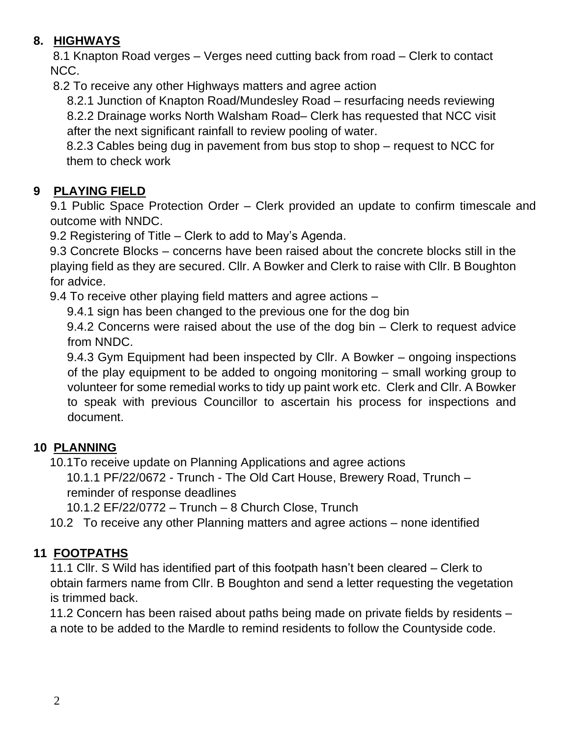## **8. HIGHWAYS**

8.1 Knapton Road verges – Verges need cutting back from road – Clerk to contact NCC.

8.2 To receive any other Highways matters and agree action

8.2.1 Junction of Knapton Road/Mundesley Road – resurfacing needs reviewing 8.2.2 Drainage works North Walsham Road– Clerk has requested that NCC visit

after the next significant rainfall to review pooling of water.

8.2.3 Cables being dug in pavement from bus stop to shop – request to NCC for them to check work

# **9 PLAYING FIELD**

9.1 Public Space Protection Order – Clerk provided an update to confirm timescale and outcome with NNDC.

9.2 Registering of Title – Clerk to add to May's Agenda.

9.3 Concrete Blocks – concerns have been raised about the concrete blocks still in the playing field as they are secured. Cllr. A Bowker and Clerk to raise with Cllr. B Boughton for advice.

9.4 To receive other playing field matters and agree actions –

9.4.1 sign has been changed to the previous one for the dog bin

9.4.2 Concerns were raised about the use of the dog bin – Clerk to request advice from NNDC.

9.4.3 Gym Equipment had been inspected by Cllr. A Bowker – ongoing inspections of the play equipment to be added to ongoing monitoring – small working group to volunteer for some remedial works to tidy up paint work etc. Clerk and Cllr. A Bowker to speak with previous Councillor to ascertain his process for inspections and document.

# **10 PLANNING**

10.1To receive update on Planning Applications and agree actions

10.1.1 PF/22/0672 - Trunch - The Old Cart House, Brewery Road, Trunch – reminder of response deadlines

10.1.2 EF/22/0772 – Trunch – 8 Church Close, Trunch

10.2 To receive any other Planning matters and agree actions – none identified

# **11 FOOTPATHS**

11.1 Cllr. S Wild has identified part of this footpath hasn't been cleared – Clerk to obtain farmers name from Cllr. B Boughton and send a letter requesting the vegetation is trimmed back.

11.2 Concern has been raised about paths being made on private fields by residents – a note to be added to the Mardle to remind residents to follow the Countyside code.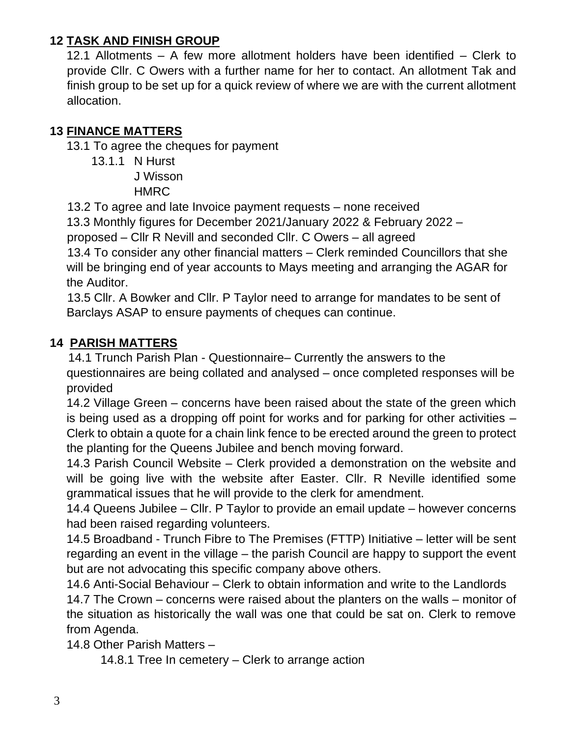## **12 TASK AND FINISH GROUP**

12.1 Allotments – A few more allotment holders have been identified – Clerk to provide Cllr. C Owers with a further name for her to contact. An allotment Tak and finish group to be set up for a quick review of where we are with the current allotment allocation.

## **13 FINANCE MATTERS**

13.1 To agree the cheques for payment

13.1.1 N Hurst

J Wisson **HMRC** 

13.2 To agree and late Invoice payment requests – none received

13.3 Monthly figures for December 2021/January 2022 & February 2022 –

proposed – Cllr R Nevill and seconded Cllr. C Owers – all agreed

13.4 To consider any other financial matters – Clerk reminded Councillors that she will be bringing end of year accounts to Mays meeting and arranging the AGAR for the Auditor.

13.5 Cllr. A Bowker and Cllr. P Taylor need to arrange for mandates to be sent of Barclays ASAP to ensure payments of cheques can continue.

## **14 PARISH MATTERS**

14.1 Trunch Parish Plan - Questionnaire– Currently the answers to the questionnaires are being collated and analysed – once completed responses will be provided

14.2 Village Green – concerns have been raised about the state of the green which is being used as a dropping off point for works and for parking for other activities – Clerk to obtain a quote for a chain link fence to be erected around the green to protect the planting for the Queens Jubilee and bench moving forward.

14.3 Parish Council Website – Clerk provided a demonstration on the website and will be going live with the website after Easter. Cllr. R Neville identified some grammatical issues that he will provide to the clerk for amendment.

14.4 Queens Jubilee – Cllr. P Taylor to provide an email update – however concerns had been raised regarding volunteers.

14.5 Broadband - Trunch Fibre to The Premises (FTTP) Initiative – letter will be sent regarding an event in the village – the parish Council are happy to support the event but are not advocating this specific company above others.

14.6 Anti-Social Behaviour – Clerk to obtain information and write to the Landlords 14.7 The Crown – concerns were raised about the planters on the walls – monitor of the situation as historically the wall was one that could be sat on. Clerk to remove from Agenda.

14.8 Other Parish Matters –

14.8.1 Tree In cemetery – Clerk to arrange action